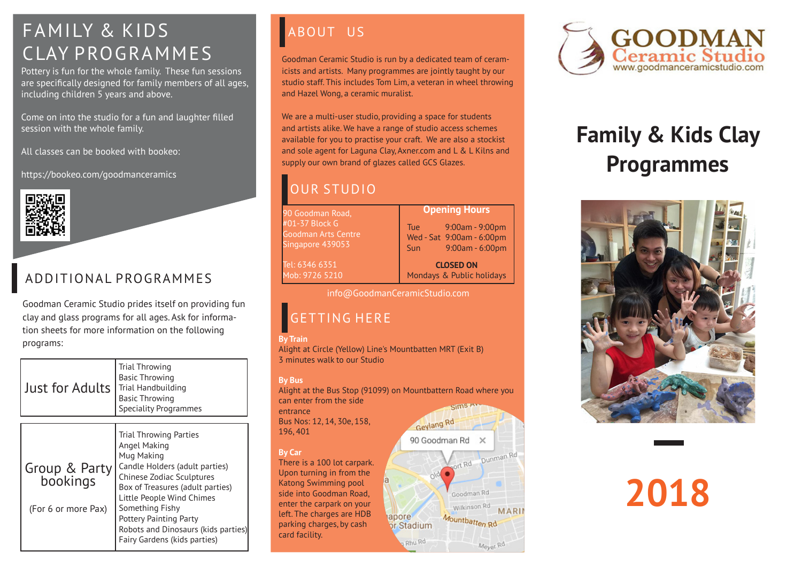## FAMILY & KIDS ABOUT US CLAY PROGRAMMES

Pottery is fun for the whole family. These fun sessions are specifically designed for family members of all ages, including children 5 years and above.

Come on into the studio for a fun and laughter filled session with the whole family.

All classes can be booked with bookeo:

https://bookeo.com/goodmanceramics



## ADDITIONAL PROGRAMMES

Goodman Ceramic Studio prides itself on providing fun clay and glass programs for all ages. Ask for information sheets for more information on the following programs:

| Just for Adults                                  | Trial Throwing<br><b>Basic Throwing</b><br><b>Trial Handbuilding</b><br><b>Basic Throwing</b><br><b>Speciality Programmes</b>                                                                                                                                                                                          |
|--------------------------------------------------|------------------------------------------------------------------------------------------------------------------------------------------------------------------------------------------------------------------------------------------------------------------------------------------------------------------------|
| Group & Party<br>bookings<br>(For 6 or more Pax) | <b>Trial Throwing Parties</b><br>Angel Making<br>Mug Making<br>Candle Holders (adult parties)<br>Chinese Zodiac Sculptures<br>Box of Treasures (adult parties)<br>Little People Wind Chimes<br>Something Fishy<br><b>Pottery Painting Party</b><br>Robots and Dinosaurs (kids parties)<br>Fairy Gardens (kids parties) |

Goodman Ceramic Studio is run by a dedicated team of ceramicists and artists. Many programmes are jointly taught by our studio staff. This includes Tom Lim, a veteran in wheel throwing and Hazel Wong, a ceramic muralist.

We are a multi-user studio, providing a space for students and artists alike. We have a range of studio access schemes available for you to practise your craft. We are also a stockist and sole agent for Laguna Clay, Axner.com and L & L Kilns and supply our own brand of glazes called GCS Glazes.

## OUR STUDIO

90 Goodman Road, #01-37 Block G Goodman Arts Centre Singapore 439053

Tel: 6346 6351 Mob: 9726 5210 Tue 9:00am - 9:00pm Wed - Sat 9:00am - 6:00pm Sun 9:00am - 6:00pm

**Opening Hours**

**CLOSED ON** Mondays & Public holidays

info@GoodmanCeramicStudio.com

## GETTING HERE

## **By Train**

Alight at Circle (Yellow) Line's Mountbatten MRT (Exit B) 3 minutes walk to our Studio

### **By Bus**

Alight at the Bus Stop (91099) on Mountbattern Road where you can enter from the side Sims A entrance

apore

or Stadium Rhu Rd

Bus Nos: 12, 14, 30e, 158, 196, 401

### **By Car**

There is a 100 lot carpark. Upon turning in from the Katong Swimming pool side into Goodman Road, enter the carpark on your left. The charges are HDB parking charges, by cash card facility.



# **Family & Kids Clay Programmes**



# **2018**



 $bRd$ 

Goodman Rd Wilkinson Rd

Mountbatten<sub>Rd</sub>

Dunman Rd

Meyer Rd

**MARI**